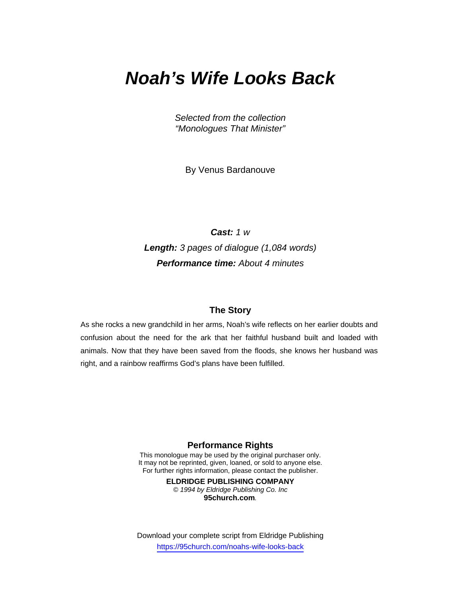# *Noah's Wife Looks Back*

*Selected from the collection "Monologues That Minister"* 

By Venus Bardanouve

*Cast: 1 w Length: 3 pages of dialogue (1,084 words) Performance time: About 4 minutes* 

### **The Story**

As she rocks a new grandchild in her arms, Noah's wife reflects on her earlier doubts and confusion about the need for the ark that her faithful husband built and loaded with animals. Now that they have been saved from the floods, she knows her husband was right, and a rainbow reaffirms God's plans have been fulfilled.

#### **Performance Rights**

This monologue may be used by the original purchaser only. It may not be reprinted, given, loaned, or sold to anyone else. For further rights information, please contact the publisher.

> **ELDRIDGE PUBLISHING COMPANY**  *© 1994 by Eldridge Publishing Co. Inc*  **95church.com***.*

Download your complete script from Eldridge Publishing https://95church.com/noahs-wife-looks-back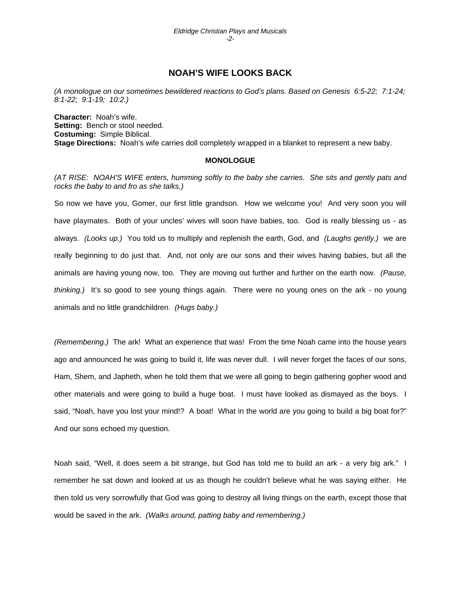## **NOAH'S WIFE LOOKS BACK**

*(A monologue on our sometimes bewildered reactions to God's plans. Based on Genesis 6:5-22; 7:1-24; 8:1-22; 9:1-19; 10:2.)* 

**Character:** Noah's wife. **Setting:** Bench or stool needed. **Costuming:** Simple Biblical. **Stage Directions:** Noah's wife carries doll completely wrapped in a blanket to represent a new baby.

#### **MONOLOGUE**

*(AT RISE: NOAH'S WIFE enters, humming softly to the baby she carries. She sits and gently pats and rocks the baby to and fro as she talks.)* 

So now we have you, Gomer, our first little grandson. How we welcome you! And very soon you will have playmates. Both of your uncles' wives will soon have babies, too. God is really blessing us - as always. *(Looks up.)* You told us to multiply and replenish the earth, God, and *(Laughs gently.)* we are really beginning to do just that. And, not only are our sons and their wives having babies, but all the animals are having young now, too. They are moving out further and further on the earth now. *(Pause, thinking.)* It's so good to see young things again. There were no young ones on the ark - no young animals and no little grandchildren. *(Hugs baby.)* 

*(Remembering.)* The ark! What an experience that was! From the time Noah came into the house years ago and announced he was going to build it, life was never dull. I will never forget the faces of our sons, Ham, Shem, and Japheth, when he told them that we were all going to begin gathering gopher wood and other materials and were going to build a huge boat. I must have looked as dismayed as the boys. I said, "Noah, have you lost your mind!? A boat! What in the world are you going to build a big boat for?" And our sons echoed my question.

Noah said, "Well, it does seem a bit strange, but God has told me to build an ark - a very big ark." I remember he sat down and looked at us as though he couldn't believe what he was saying either. He then told us very sorrowfully that God was going to destroy all living things on the earth, except those that would be saved in the ark. *(Walks around, patting baby and remembering.)*